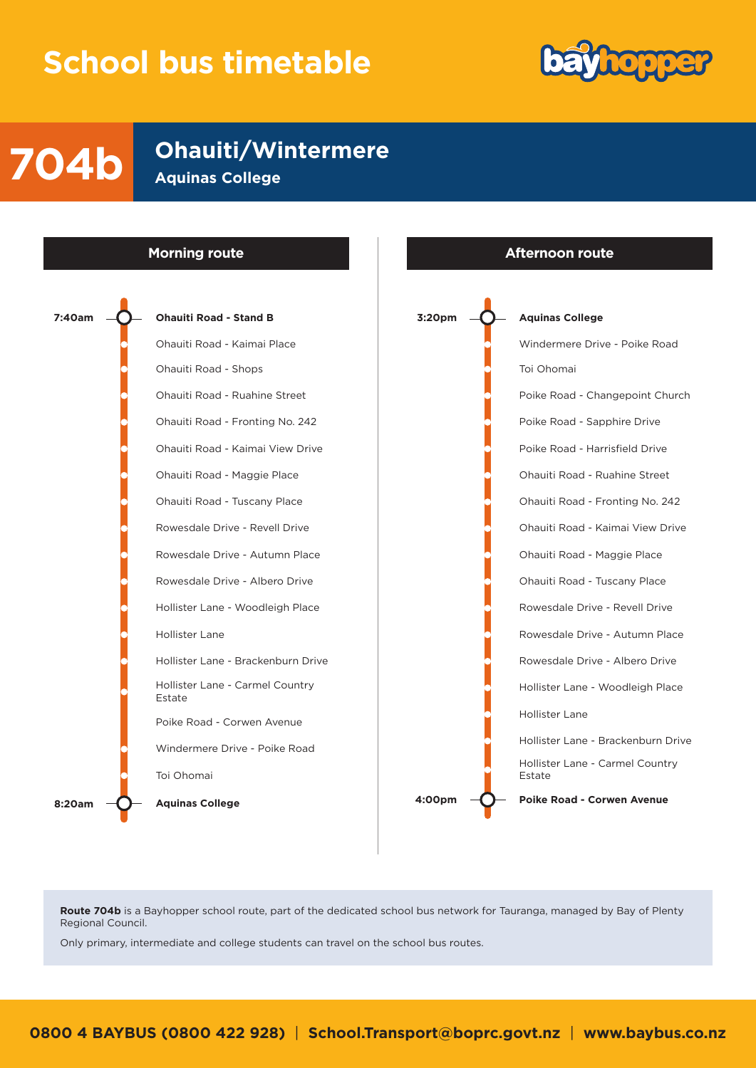## **School bus timetable**



**704b Ohauiti/Wintermere Aguinas College** 



**Route 704b** is a Bayhopper school route, part of the dedicated school bus network for Tauranga, managed by Bay of Plenty Regional Council.

Only primary, intermediate and college students can travel on the school bus routes.